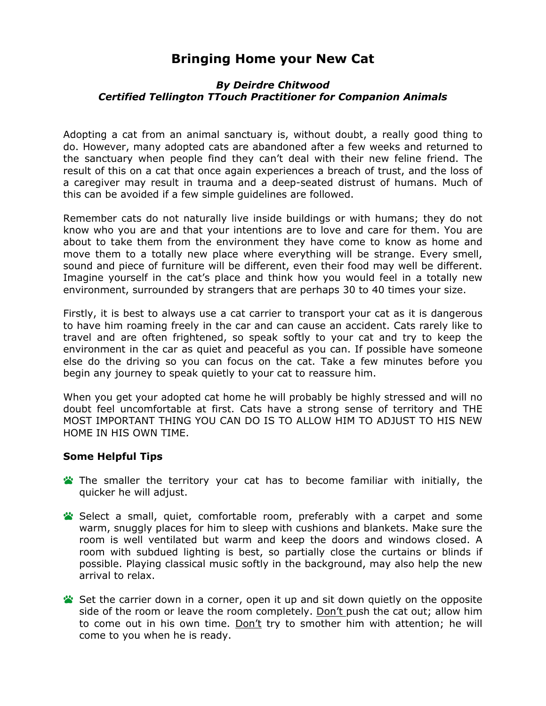## **Bringing Home your New Cat**

## *By Deirdre Chitwood Certified Tellington TTouch Practitioner for Companion Animals*

Adopting a cat from an animal sanctuary is, without doubt, a really good thing to do. However, many adopted cats are abandoned after a few weeks and returned to the sanctuary when people find they can't deal with their new feline friend. The result of this on a cat that once again experiences a breach of trust, and the loss of a caregiver may result in trauma and a deep-seated distrust of humans. Much of this can be avoided if a few simple guidelines are followed.

Remember cats do not naturally live inside buildings or with humans; they do not know who you are and that your intentions are to love and care for them. You are about to take them from the environment they have come to know as home and move them to a totally new place where everything will be strange. Every smell, sound and piece of furniture will be different, even their food may well be different. Imagine yourself in the cat's place and think how you would feel in a totally new environment, surrounded by strangers that are perhaps 30 to 40 times your size.

Firstly, it is best to always use a cat carrier to transport your cat as it is dangerous to have him roaming freely in the car and can cause an accident. Cats rarely like to travel and are often frightened, so speak softly to your cat and try to keep the environment in the car as quiet and peaceful as you can. If possible have someone else do the driving so you can focus on the cat. Take a few minutes before you begin any journey to speak quietly to your cat to reassure him.

When you get your adopted cat home he will probably be highly stressed and will no doubt feel uncomfortable at first. Cats have a strong sense of territory and THE MOST IMPORTANT THING YOU CAN DO IS TO ALLOW HIM TO ADJUST TO HIS NEW HOME IN HIS OWN TIME.

## **Some Helpful Tips**

- **The smaller the territory your cat has to become familiar with initially, the** quicker he will adjust.
- Select a small, quiet, comfortable room, preferably with a carpet and some warm, snuggly places for him to sleep with cushions and blankets. Make sure the room is well ventilated but warm and keep the doors and windows closed. A room with subdued lighting is best, so partially close the curtains or blinds if possible. Playing classical music softly in the background, may also help the new arrival to relax.
- Set the carrier down in a corner, open it up and sit down quietly on the opposite side of the room or leave the room completely. Don't push the cat out; allow him to come out in his own time. Don't try to smother him with attention; he will come to you when he is ready.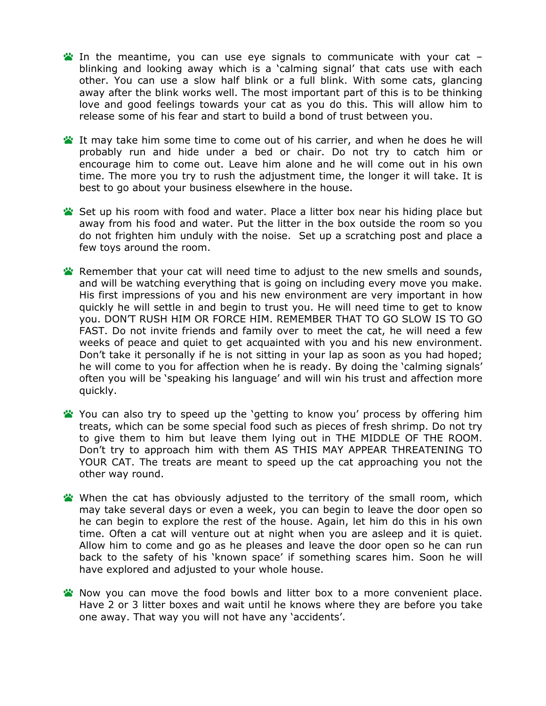- In the meantime, you can use eye signals to communicate with your cat  $$ blinking and looking away which is a 'calming signal' that cats use with each other. You can use a slow half blink or a full blink. With some cats, glancing away after the blink works well. The most important part of this is to be thinking love and good feelings towards your cat as you do this. This will allow him to release some of his fear and start to build a bond of trust between you.
- **If may take him some time to come out of his carrier, and when he does he will** probably run and hide under a bed or chair. Do not try to catch him or encourage him to come out. Leave him alone and he will come out in his own time. The more you try to rush the adjustment time, the longer it will take. It is best to go about your business elsewhere in the house.
- Set up his room with food and water. Place a litter box near his hiding place but away from his food and water. Put the litter in the box outside the room so you do not frighten him unduly with the noise. Set up a scratching post and place a few toys around the room.
- **Remember that your cat will need time to adjust to the new smells and sounds,** and will be watching everything that is going on including every move you make. His first impressions of you and his new environment are very important in how quickly he will settle in and begin to trust you. He will need time to get to know you. DON'T RUSH HIM OR FORCE HIM. REMEMBER THAT TO GO SLOW IS TO GO FAST. Do not invite friends and family over to meet the cat, he will need a few weeks of peace and quiet to get acquainted with you and his new environment. Don't take it personally if he is not sitting in your lap as soon as you had hoped; he will come to you for affection when he is ready. By doing the 'calming signals' often you will be 'speaking his language' and will win his trust and affection more quickly.
- You can also try to speed up the 'getting to know you' process by offering him treats, which can be some special food such as pieces of fresh shrimp. Do not try to give them to him but leave them lying out in THE MIDDLE OF THE ROOM. Don't try to approach him with them AS THIS MAY APPEAR THREATENING TO YOUR CAT. The treats are meant to speed up the cat approaching you not the other way round.
- When the cat has obviously adjusted to the territory of the small room, which may take several days or even a week, you can begin to leave the door open so he can begin to explore the rest of the house. Again, let him do this in his own time. Often a cat will venture out at night when you are asleep and it is quiet. Allow him to come and go as he pleases and leave the door open so he can run back to the safety of his 'known space' if something scares him. Soon he will have explored and adjusted to your whole house.
- <sup>2</sup> Now you can move the food bowls and litter box to a more convenient place. Have 2 or 3 litter boxes and wait until he knows where they are before you take one away. That way you will not have any 'accidents'.